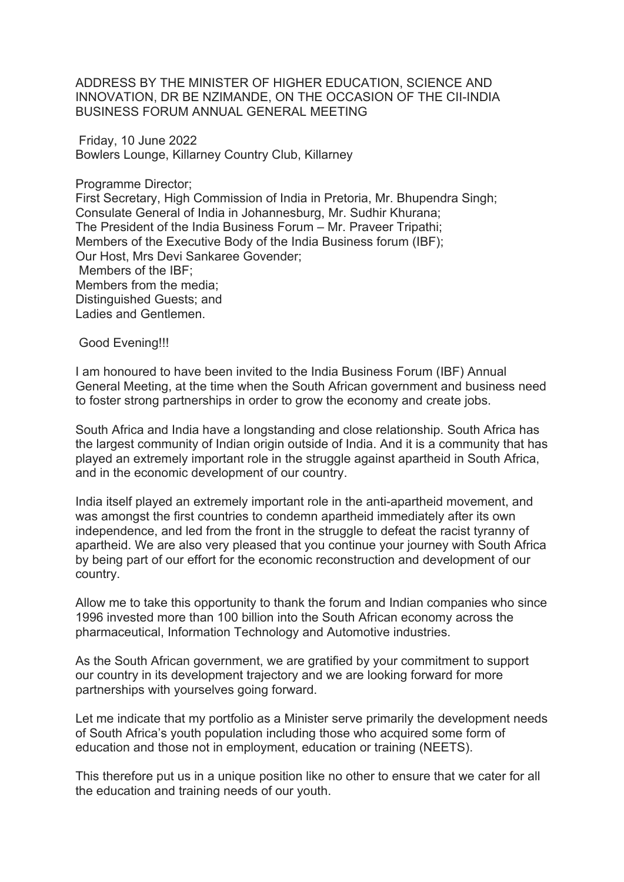ADDRESS BY THE MINISTER OF HIGHER EDUCATION, SCIENCE AND INNOVATION, DR BE NZIMANDE, ON THE OCCASION OF THE CII-INDIA BUSINESS FORUM ANNUAL GENERAL MEETING

 Friday, 10 June 2022 Bowlers Lounge, Killarney Country Club, Killarney

Programme Director; First Secretary, High Commission of India in Pretoria, Mr. Bhupendra Singh; Consulate General of India in Johannesburg, Mr. Sudhir Khurana; The President of the India Business Forum – Mr. Praveer Tripathi; Members of the Executive Body of the India Business forum (IBF); Our Host, Mrs Devi Sankaree Govender; Members of the IBF; Members from the media; Distinguished Guests; and Ladies and Gentlemen.

Good Evening!!!

I am honoured to have been invited to the India Business Forum (IBF) Annual General Meeting, at the time when the South African government and business need to foster strong partnerships in order to grow the economy and create jobs.

South Africa and India have a longstanding and close relationship. South Africa has the largest community of Indian origin outside of India. And it is a community that has played an extremely important role in the struggle against apartheid in South Africa, and in the economic development of our country.

India itself played an extremely important role in the anti-apartheid movement, and was amongst the first countries to condemn apartheid immediately after its own independence, and led from the front in the struggle to defeat the racist tyranny of apartheid. We are also very pleased that you continue your journey with South Africa by being part of our effort for the economic reconstruction and development of our country.

Allow me to take this opportunity to thank the forum and Indian companies who since 1996 invested more than 100 billion into the South African economy across the pharmaceutical, Information Technology and Automotive industries.

As the South African government, we are gratified by your commitment to support our country in its development trajectory and we are looking forward for more partnerships with yourselves going forward.

Let me indicate that my portfolio as a Minister serve primarily the development needs of South Africa's youth population including those who acquired some form of education and those not in employment, education or training (NEETS).

This therefore put us in a unique position like no other to ensure that we cater for all the education and training needs of our youth.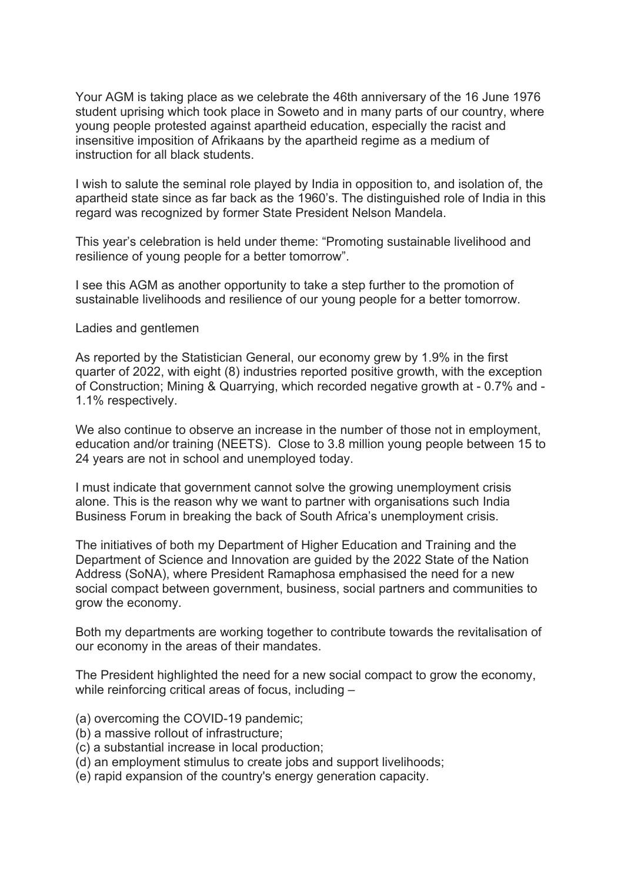Your AGM is taking place as we celebrate the 46th anniversary of the 16 June 1976 student uprising which took place in Soweto and in many parts of our country, where young people protested against apartheid education, especially the racist and insensitive imposition of Afrikaans by the apartheid regime as a medium of instruction for all black students.

I wish to salute the seminal role played by India in opposition to, and isolation of, the apartheid state since as far back as the 1960's. The distinguished role of India in this regard was recognized by former State President Nelson Mandela.

This year's celebration is held under theme: "Promoting sustainable livelihood and resilience of young people for a better tomorrow".

I see this AGM as another opportunity to take a step further to the promotion of sustainable livelihoods and resilience of our young people for a better tomorrow.

## Ladies and gentlemen

As reported by the Statistician General, our economy grew by 1.9% in the first quarter of 2022, with eight (8) industries reported positive growth, with the exception of Construction; Mining & Quarrying, which recorded negative growth at - 0.7% and - 1.1% respectively.

We also continue to observe an increase in the number of those not in employment, education and/or training (NEETS). Close to 3.8 million young people between 15 to 24 years are not in school and unemployed today.

I must indicate that government cannot solve the growing unemployment crisis alone. This is the reason why we want to partner with organisations such India Business Forum in breaking the back of South Africa's unemployment crisis.

The initiatives of both my Department of Higher Education and Training and the Department of Science and Innovation are guided by the 2022 State of the Nation Address (SoNA), where President Ramaphosa emphasised the need for a new social compact between government, business, social partners and communities to grow the economy.

Both my departments are working together to contribute towards the revitalisation of our economy in the areas of their mandates.

The President highlighted the need for a new social compact to grow the economy, while reinforcing critical areas of focus, including –

- (a) overcoming the COVID-19 pandemic;
- (b) a massive rollout of infrastructure;
- (c) a substantial increase in local production;
- (d) an employment stimulus to create jobs and support livelihoods;
- (e) rapid expansion of the country's energy generation capacity.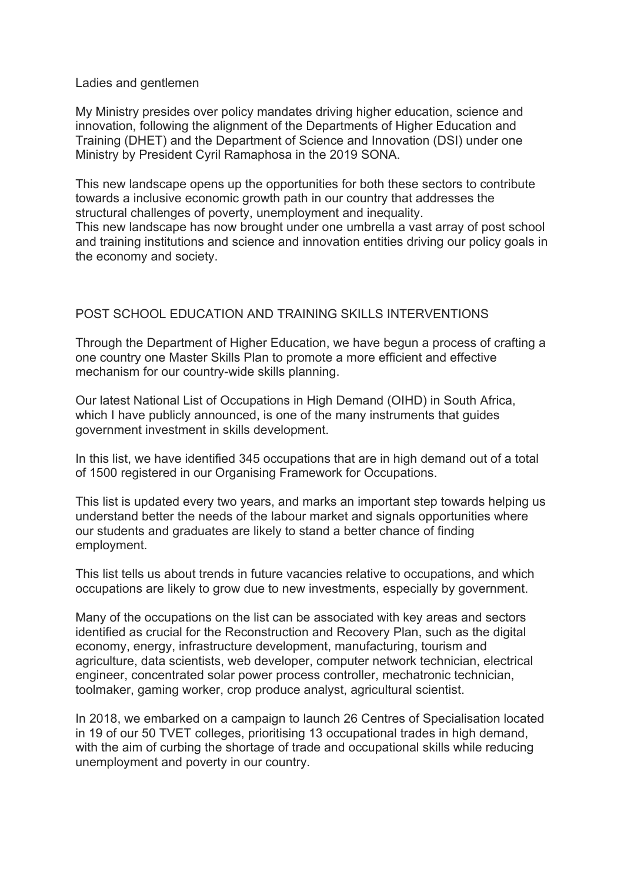Ladies and gentlemen

My Ministry presides over policy mandates driving higher education, science and innovation, following the alignment of the Departments of Higher Education and Training (DHET) and the Department of Science and Innovation (DSI) under one Ministry by President Cyril Ramaphosa in the 2019 SONA.

This new landscape opens up the opportunities for both these sectors to contribute towards a inclusive economic growth path in our country that addresses the structural challenges of poverty, unemployment and inequality.

This new landscape has now brought under one umbrella a vast array of post school and training institutions and science and innovation entities driving our policy goals in the economy and society.

# POST SCHOOL EDUCATION AND TRAINING SKILLS INTERVENTIONS

Through the Department of Higher Education, we have begun a process of crafting a one country one Master Skills Plan to promote a more efficient and effective mechanism for our country-wide skills planning.

Our latest National List of Occupations in High Demand (OIHD) in South Africa, which I have publicly announced, is one of the many instruments that guides government investment in skills development.

In this list, we have identified 345 occupations that are in high demand out of a total of 1500 registered in our Organising Framework for Occupations.

This list is updated every two years, and marks an important step towards helping us understand better the needs of the labour market and signals opportunities where our students and graduates are likely to stand a better chance of finding employment.

This list tells us about trends in future vacancies relative to occupations, and which occupations are likely to grow due to new investments, especially by government.

Many of the occupations on the list can be associated with key areas and sectors identified as crucial for the Reconstruction and Recovery Plan, such as the digital economy, energy, infrastructure development, manufacturing, tourism and agriculture, data scientists, web developer, computer network technician, electrical engineer, concentrated solar power process controller, mechatronic technician, toolmaker, gaming worker, crop produce analyst, agricultural scientist.

In 2018, we embarked on a campaign to launch 26 Centres of Specialisation located in 19 of our 50 TVET colleges, prioritising 13 occupational trades in high demand, with the aim of curbing the shortage of trade and occupational skills while reducing unemployment and poverty in our country.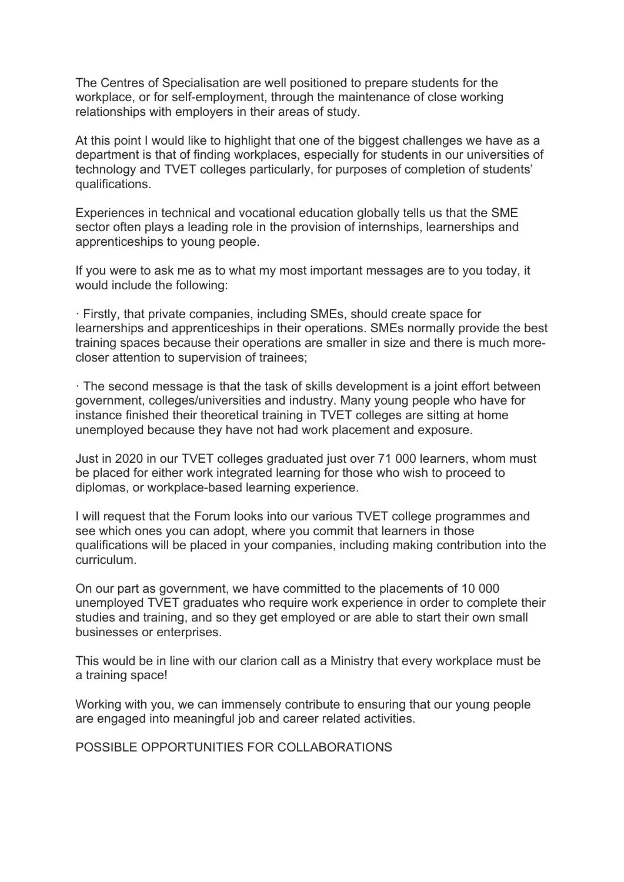The Centres of Specialisation are well positioned to prepare students for the workplace, or for self-employment, through the maintenance of close working relationships with employers in their areas of study.

At this point I would like to highlight that one of the biggest challenges we have as a department is that of finding workplaces, especially for students in our universities of technology and TVET colleges particularly, for purposes of completion of students' qualifications.

Experiences in technical and vocational education globally tells us that the SME sector often plays a leading role in the provision of internships, learnerships and apprenticeships to young people.

If you were to ask me as to what my most important messages are to you today, it would include the following:

ꞏ Firstly, that private companies, including SMEs, should create space for learnerships and apprenticeships in their operations. SMEs normally provide the best training spaces because their operations are smaller in size and there is much morecloser attention to supervision of trainees;

ꞏ The second message is that the task of skills development is a joint effort between government, colleges/universities and industry. Many young people who have for instance finished their theoretical training in TVET colleges are sitting at home unemployed because they have not had work placement and exposure.

Just in 2020 in our TVET colleges graduated just over 71 000 learners, whom must be placed for either work integrated learning for those who wish to proceed to diplomas, or workplace-based learning experience.

I will request that the Forum looks into our various TVET college programmes and see which ones you can adopt, where you commit that learners in those qualifications will be placed in your companies, including making contribution into the curriculum.

On our part as government, we have committed to the placements of 10 000 unemployed TVET graduates who require work experience in order to complete their studies and training, and so they get employed or are able to start their own small businesses or enterprises.

This would be in line with our clarion call as a Ministry that every workplace must be a training space!

Working with you, we can immensely contribute to ensuring that our young people are engaged into meaningful job and career related activities.

POSSIBLE OPPORTUNITIES FOR COLLABORATIONS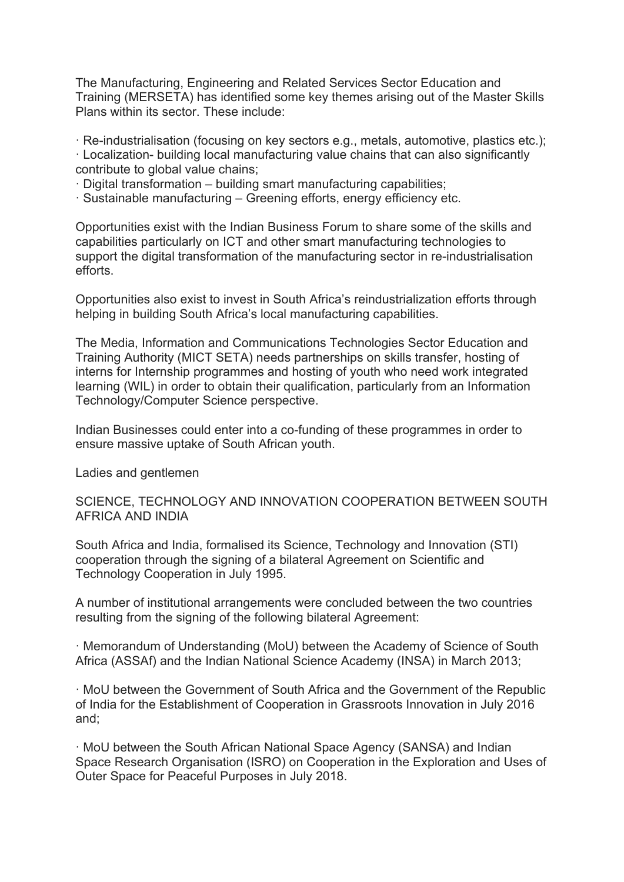The Manufacturing, Engineering and Related Services Sector Education and Training (MERSETA) has identified some key themes arising out of the Master Skills Plans within its sector. These include:

ꞏ Re-industrialisation (focusing on key sectors e.g., metals, automotive, plastics etc.);

ꞏ Localization- building local manufacturing value chains that can also significantly contribute to global value chains;

 $\cdot$  Digital transformation – building smart manufacturing capabilities;

ꞏ Sustainable manufacturing – Greening efforts, energy efficiency etc.

Opportunities exist with the Indian Business Forum to share some of the skills and capabilities particularly on ICT and other smart manufacturing technologies to support the digital transformation of the manufacturing sector in re-industrialisation efforts.

Opportunities also exist to invest in South Africa's reindustrialization efforts through helping in building South Africa's local manufacturing capabilities.

The Media, Information and Communications Technologies Sector Education and Training Authority (MICT SETA) needs partnerships on skills transfer, hosting of interns for Internship programmes and hosting of youth who need work integrated learning (WIL) in order to obtain their qualification, particularly from an Information Technology/Computer Science perspective.

Indian Businesses could enter into a co-funding of these programmes in order to ensure massive uptake of South African youth.

Ladies and gentlemen

SCIENCE, TECHNOLOGY AND INNOVATION COOPERATION BETWEEN SOUTH AFRICA AND INDIA

South Africa and India, formalised its Science, Technology and Innovation (STI) cooperation through the signing of a bilateral Agreement on Scientific and Technology Cooperation in July 1995.

A number of institutional arrangements were concluded between the two countries resulting from the signing of the following bilateral Agreement:

ꞏ Memorandum of Understanding (MoU) between the Academy of Science of South Africa (ASSAf) and the Indian National Science Academy (INSA) in March 2013;

ꞏ MoU between the Government of South Africa and the Government of the Republic of India for the Establishment of Cooperation in Grassroots Innovation in July 2016 and;

ꞏ MoU between the South African National Space Agency (SANSA) and Indian Space Research Organisation (ISRO) on Cooperation in the Exploration and Uses of Outer Space for Peaceful Purposes in July 2018.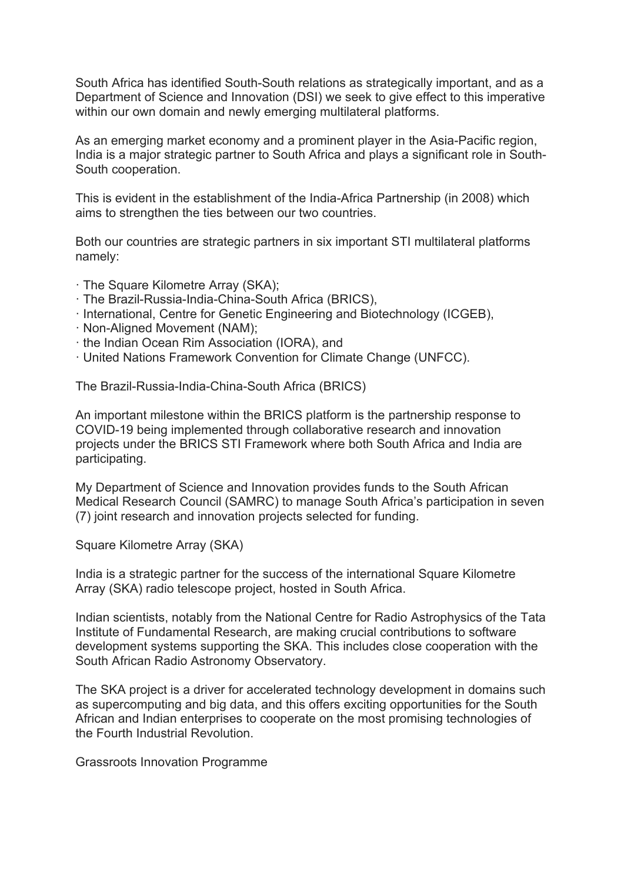South Africa has identified South-South relations as strategically important, and as a Department of Science and Innovation (DSI) we seek to give effect to this imperative within our own domain and newly emerging multilateral platforms.

As an emerging market economy and a prominent player in the Asia-Pacific region, India is a major strategic partner to South Africa and plays a significant role in South-South cooperation.

This is evident in the establishment of the India-Africa Partnership (in 2008) which aims to strengthen the ties between our two countries.

Both our countries are strategic partners in six important STI multilateral platforms namely:

- ꞏ The Square Kilometre Array (SKA);
- ꞏ The Brazil-Russia-India-China-South Africa (BRICS),
- ꞏ International, Centre for Genetic Engineering and Biotechnology (ICGEB),
- ꞏ Non-Aligned Movement (NAM);
- ꞏ the Indian Ocean Rim Association (IORA), and
- ꞏ United Nations Framework Convention for Climate Change (UNFCC).

The Brazil-Russia-India-China-South Africa (BRICS)

An important milestone within the BRICS platform is the partnership response to COVID-19 being implemented through collaborative research and innovation projects under the BRICS STI Framework where both South Africa and India are participating.

My Department of Science and Innovation provides funds to the South African Medical Research Council (SAMRC) to manage South Africa's participation in seven (7) joint research and innovation projects selected for funding.

Square Kilometre Array (SKA)

India is a strategic partner for the success of the international Square Kilometre Array (SKA) radio telescope project, hosted in South Africa.

Indian scientists, notably from the National Centre for Radio Astrophysics of the Tata Institute of Fundamental Research, are making crucial contributions to software development systems supporting the SKA. This includes close cooperation with the South African Radio Astronomy Observatory.

The SKA project is a driver for accelerated technology development in domains such as supercomputing and big data, and this offers exciting opportunities for the South African and Indian enterprises to cooperate on the most promising technologies of the Fourth Industrial Revolution.

Grassroots Innovation Programme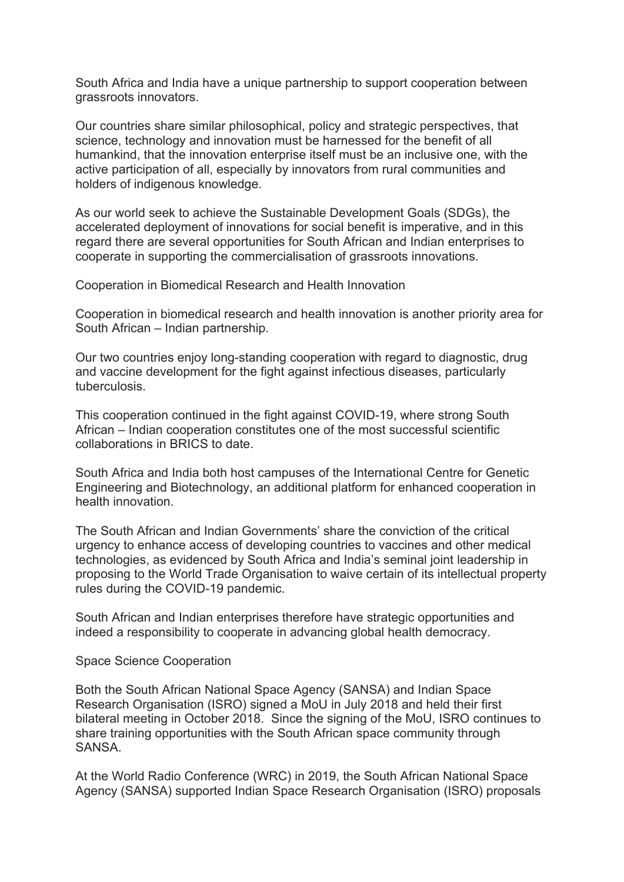South Africa and India have a unique partnership to support cooperation between grassroots innovators.

Our countries share similar philosophical, policy and strategic perspectives, that science, technology and innovation must be harnessed for the benefit of all humankind, that the innovation enterprise itself must be an inclusive one, with the active participation of all, especially by innovators from rural communities and holders of indigenous knowledge.

As our world seek to achieve the Sustainable Development Goals (SDGs), the accelerated deployment of innovations for social benefit is imperative, and in this regard there are several opportunities for South African and Indian enterprises to cooperate in supporting the commercialisation of grassroots innovations.

Cooperation in Biomedical Research and Health Innovation

Cooperation in biomedical research and health innovation is another priority area for South African – Indian partnership.

Our two countries enjoy long-standing cooperation with regard to diagnostic, drug and vaccine development for the fight against infectious diseases, particularly tuberculosis.

This cooperation continued in the fight against COVID-19, where strong South African – Indian cooperation constitutes one of the most successful scientific collaborations in BRICS to date.

South Africa and India both host campuses of the International Centre for Genetic Engineering and Biotechnology, an additional platform for enhanced cooperation in health innovation.

The South African and Indian Governments' share the conviction of the critical urgency to enhance access of developing countries to vaccines and other medical technologies, as evidenced by South Africa and India's seminal joint leadership in proposing to the World Trade Organisation to waive certain of its intellectual property rules during the COVID-19 pandemic.

South African and Indian enterprises therefore have strategic opportunities and indeed a responsibility to cooperate in advancing global health democracy.

#### Space Science Cooperation

Both the South African National Space Agency (SANSA) and Indian Space Research Organisation (ISRO) signed a MoU in July 2018 and held their first bilateral meeting in October 2018. Since the signing of the MoU, ISRO continues to share training opportunities with the South African space community through **SANSA** 

At the World Radio Conference (WRC) in 2019, the South African National Space Agency (SANSA) supported Indian Space Research Organisation (ISRO) proposals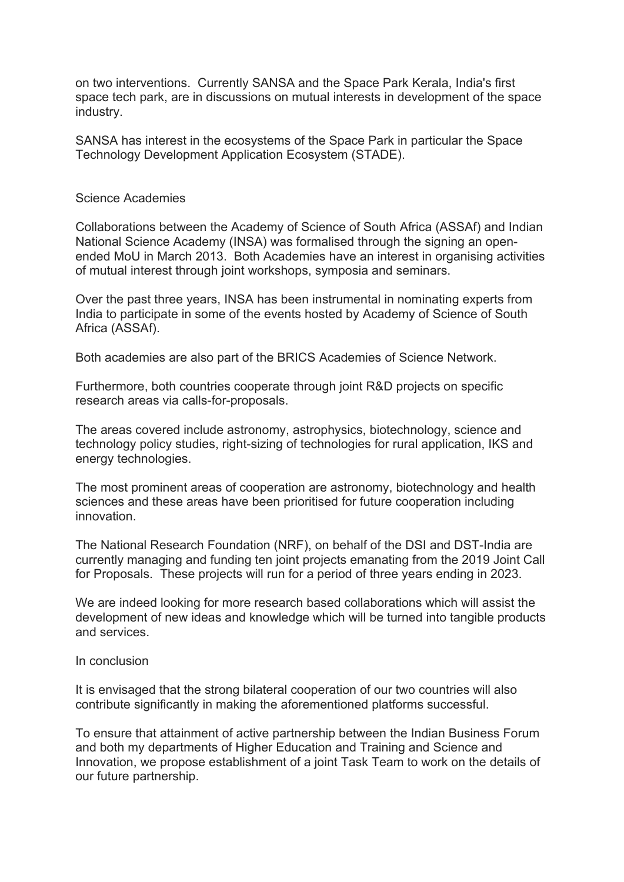on two interventions. Currently SANSA and the Space Park Kerala, India's first space tech park, are in discussions on mutual interests in development of the space industry.

SANSA has interest in the ecosystems of the Space Park in particular the Space Technology Development Application Ecosystem (STADE).

## Science Academies

Collaborations between the Academy of Science of South Africa (ASSAf) and Indian National Science Academy (INSA) was formalised through the signing an openended MoU in March 2013. Both Academies have an interest in organising activities of mutual interest through joint workshops, symposia and seminars.

Over the past three years, INSA has been instrumental in nominating experts from India to participate in some of the events hosted by Academy of Science of South Africa (ASSAf).

Both academies are also part of the BRICS Academies of Science Network.

Furthermore, both countries cooperate through joint R&D projects on specific research areas via calls-for-proposals.

The areas covered include astronomy, astrophysics, biotechnology, science and technology policy studies, right-sizing of technologies for rural application, IKS and energy technologies.

The most prominent areas of cooperation are astronomy, biotechnology and health sciences and these areas have been prioritised for future cooperation including innovation.

The National Research Foundation (NRF), on behalf of the DSI and DST-India are currently managing and funding ten joint projects emanating from the 2019 Joint Call for Proposals. These projects will run for a period of three years ending in 2023.

We are indeed looking for more research based collaborations which will assist the development of new ideas and knowledge which will be turned into tangible products and services.

# In conclusion

It is envisaged that the strong bilateral cooperation of our two countries will also contribute significantly in making the aforementioned platforms successful.

To ensure that attainment of active partnership between the Indian Business Forum and both my departments of Higher Education and Training and Science and Innovation, we propose establishment of a joint Task Team to work on the details of our future partnership.